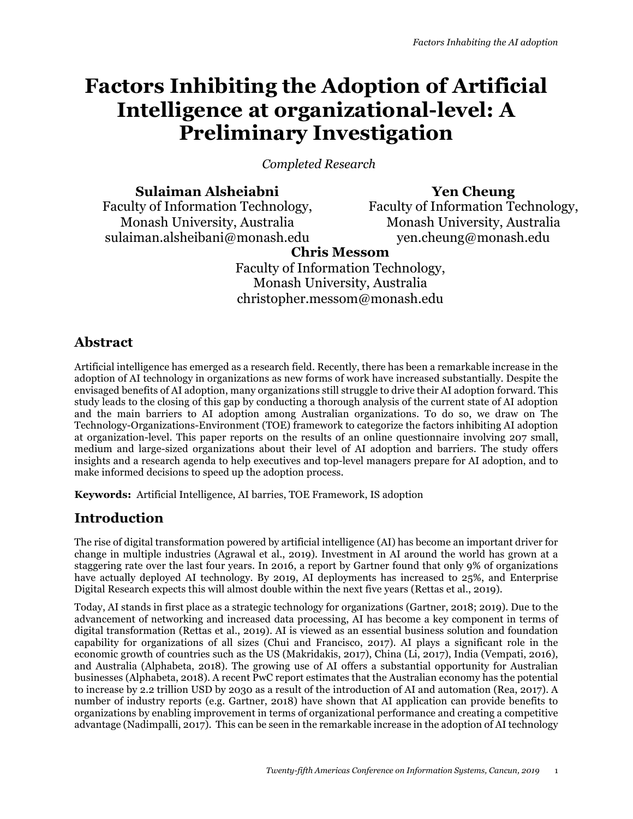# **Factors Inhibiting the Adoption of Artificial Intelligence at organizational-level: A Preliminary Investigation**

*Completed Research*

**Sulaiman Alsheiabni** Faculty of Information Technology, Monash University, Australia sulaiman.alsheibani@monash.edu

**Yen Cheung**

Faculty of Information Technology, Monash University, Australia yen.cheung@monash.edu

# **Chris Messom**

Faculty of Information Technology, Monash University, Australia christopher.messom@monash.edu

# **Abstract**

Artificial intelligence has emerged as a research field. Recently, there has been a remarkable increase in the adoption of AI technology in organizations as new forms of work have increased substantially. Despite the envisaged benefits of AI adoption, many organizations still struggle to drive their AI adoption forward. This study leads to the closing of this gap by conducting a thorough analysis of the current state of AI adoption and the main barriers to AI adoption among Australian organizations. To do so, we draw on The Technology-Organizations-Environment (TOE) framework to categorize the factors inhibiting AI adoption at organization-level. This paper reports on the results of an online questionnaire involving 207 small, medium and large-sized organizations about their level of AI adoption and barriers. The study offers insights and a research agenda to help executives and top-level managers prepare for AI adoption, and to make informed decisions to speed up the adoption process.

**Keywords:** Artificial Intelligence, AI barries, TOE Framework, IS adoption

### **Introduction**

The rise of digital transformation powered by artificial intelligence (AI) has become an important driver for change in multiple industries (Agrawal et al., 2019). Investment in AI around the world has grown at a staggering rate over the last four years. In 2016, a report by Gartner found that only 9% of organizations have actually deployed AI technology. By 2019, AI deployments has increased to 25%, and Enterprise Digital Research expects this will almost double within the next five years (Rettas et al., 2019).

Today, AI stands in first place as a strategic technology for organizations (Gartner, 2018; 2019). Due to the advancement of networking and increased data processing, AI has become a key component in terms of digital transformation (Rettas et al., 2019). AI is viewed as an essential business solution and foundation capability for organizations of all sizes (Chui and Francisco, 2017). AI plays a significant role in the economic growth of countries such as the US (Makridakis, 2017), China (Li, 2017), India (Vempati, 2016), and Australia (Alphabeta, 2018). The growing use of AI offers a substantial opportunity for Australian businesses (Alphabeta, 2018). A recent PwC report estimates that the Australian economy has the potential to increase by 2.2 trillion USD by 2030 as a result of the introduction of AI and automation (Rea, 2017). A number of industry reports (e.g. Gartner, 2018) have shown that AI application can provide benefits to organizations by enabling improvement in terms of organizational performance and creating a competitive advantage (Nadimpalli, 2017). This can be seen in the remarkable increase in the adoption of AI technology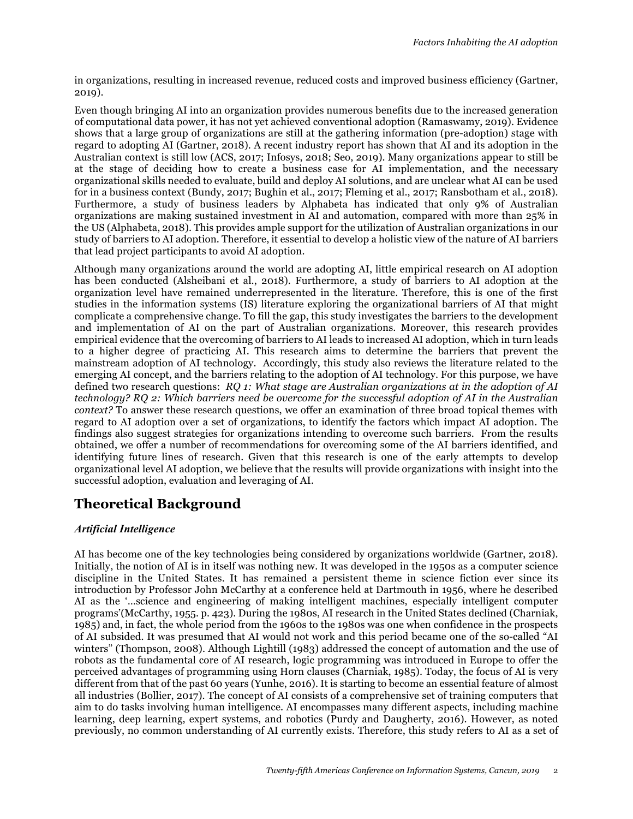in organizations, resulting in increased revenue, reduced costs and improved business efficiency (Gartner, 2019).

Even though bringing AI into an organization provides numerous benefits due to the increased generation of computational data power, it has not yet achieved conventional adoption (Ramaswamy, 2019). Evidence shows that a large group of organizations are still at the gathering information (pre-adoption) stage with regard to adopting AI (Gartner, 2018). A recent industry report has shown that AI and its adoption in the Australian context is still low (ACS, 2017; Infosys, 2018; Seo, 2019). Many organizations appear to still be at the stage of deciding how to create a business case for AI implementation, and the necessary organizational skills needed to evaluate, build and deploy AI solutions, and are unclear what AI can be used for in a business context (Bundy, 2017; Bughin et al., 2017; Fleming et al., 2017; Ransbotham et al., 2018). Furthermore, a study of business leaders by Alphabeta has indicated that only 9% of Australian organizations are making sustained investment in AI and automation, compared with more than 25% in the US (Alphabeta, 2018). This provides ample support for the utilization of Australian organizations in our study of barriers to AI adoption. Therefore, it essential to develop a holistic view of the nature of AI barriers that lead project participants to avoid AI adoption.

Although many organizations around the world are adopting AI, little empirical research on AI adoption has been conducted (Alsheibani et al., 2018). Furthermore, a study of barriers to AI adoption at the organization level have remained underrepresented in the literature. Therefore, this is one of the first studies in the information systems (IS) literature exploring the organizational barriers of AI that might complicate a comprehensive change. To fill the gap, this study investigates the barriers to the development and implementation of AI on the part of Australian organizations. Moreover, this research provides empirical evidence that the overcoming of barriers to AI leads to increased AI adoption, which in turn leads to a higher degree of practicing AI. This research aims to determine the barriers that prevent the mainstream adoption of AI technology. Accordingly, this study also reviews the literature related to the emerging AI concept, and the barriers relating to the adoption of AI technology. For this purpose, we have defined two research questions: *RQ 1: What stage are Australian organizations at in the adoption of AI technology? RQ 2: Which barriers need be overcome for the successful adoption of AI in the Australian context?* To answer these research questions, we offer an examination of three broad topical themes with regard to AI adoption over a set of organizations, to identify the factors which impact AI adoption. The findings also suggest strategies for organizations intending to overcome such barriers. From the results obtained, we offer a number of recommendations for overcoming some of the AI barriers identified, and identifying future lines of research. Given that this research is one of the early attempts to develop organizational level AI adoption, we believe that the results will provide organizations with insight into the successful adoption, evaluation and leveraging of AI.

# **Theoretical Background**

### *Artificial Intelligence*

AI has become one of the key technologies being considered by organizations worldwide (Gartner, 2018). Initially, the notion of AI is in itself was nothing new. It was developed in the 1950s as a computer science discipline in the United States. It has remained a persistent theme in science fiction ever since its introduction by Professor John McCarthy at a conference held at Dartmouth in 1956, where he described AI as the '…science and engineering of making intelligent machines, especially intelligent computer programs'(McCarthy, 1955. p. 423). During the 1980s, AI research in the United States declined (Charniak, 1985) and, in fact, the whole period from the 1960s to the 1980s was one when confidence in the prospects of AI subsided. It was presumed that AI would not work and this period became one of the so-called "AI winters" (Thompson, 2008). Although Lightill (1983) addressed the concept of automation and the use of robots as the fundamental core of AI research, logic programming was introduced in Europe to offer the perceived advantages of programming using Horn clauses (Charniak, 1985). Today, the focus of AI is very different from that of the past 60 years (Yunhe, 2016). It is starting to become an essential feature of almost all industries (Bollier, 2017). The concept of AI consists of a comprehensive set of training computers that aim to do tasks involving human intelligence. AI encompasses many different aspects, including machine learning, deep learning, expert systems, and robotics (Purdy and Daugherty, 2016). However, as noted previously, no common understanding of AI currently exists. Therefore, this study refers to AI as a set of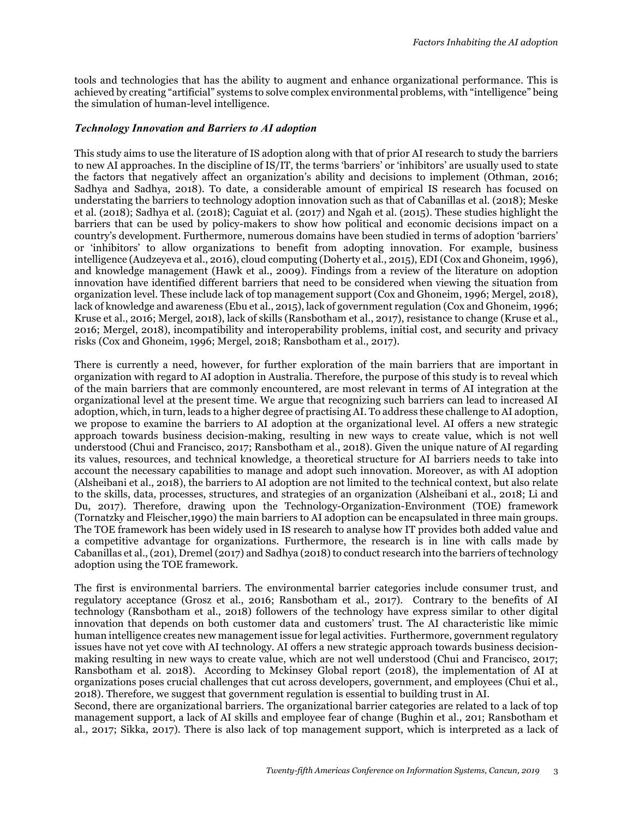tools and technologies that has the ability to augment and enhance organizational performance. This is achieved by creating "artificial" systems to solve complex environmental problems, with "intelligence" being the simulation of human-level intelligence.

#### *Technology Innovation and Barriers to AI adoption*

This study aims to use the literature of IS adoption along with that of prior AI research to study the barriers to new AI approaches. In the discipline of IS/IT, the terms 'barriers' or 'inhibitors' are usually used to state the factors that negatively affect an organization's ability and decisions to implement (Othman, 2016; Sadhya and Sadhya, 2018). To date, a considerable amount of empirical IS research has focused on understating the barriers to technology adoption innovation such as that of Cabanillas et al. (2018); Meske et al. (2018); Sadhya et al. (2018); Caguiat et al. (2017) and Ngah et al. (2015). These studies highlight the barriers that can be used by policy-makers to show how political and economic decisions impact on a country's development. Furthermore, numerous domains have been studied in terms of adoption 'barriers' or 'inhibitors' to allow organizations to benefit from adopting innovation. For example, business intelligence (Audzeyeva et al., 2016), cloud computing (Doherty et al., 2015), EDI (Cox and Ghoneim, 1996), and knowledge management (Hawk et al., 2009). Findings from a review of the literature on adoption innovation have identified different barriers that need to be considered when viewing the situation from organization level. These include lack of top management support (Cox and Ghoneim, 1996; Mergel, 2018), lack of knowledge and awareness (Ebu et al., 2015), lack of government regulation (Cox and Ghoneim, 1996; Kruse et al., 2016; Mergel, 2018), lack of skills (Ransbotham et al., 2017), resistance to change (Kruse et al., 2016; Mergel, 2018), incompatibility and interoperability problems, initial cost, and security and privacy risks (Cox and Ghoneim, 1996; Mergel, 2018; Ransbotham et al., 2017).

There is currently a need, however, for further exploration of the main barriers that are important in organization with regard to AI adoption in Australia. Therefore, the purpose of this study is to reveal which of the main barriers that are commonly encountered, are most relevant in terms of AI integration at the organizational level at the present time. We argue that recognizing such barriers can lead to increased AI adoption, which, in turn, leads to a higher degree of practising AI. To address these challenge to AI adoption, we propose to examine the barriers to AI adoption at the organizational level. AI offers a new strategic approach towards business decision-making, resulting in new ways to create value, which is not well understood (Chui and Francisco, 2017; Ransbotham et al., 2018). Given the unique nature of AI regarding its values, resources, and technical knowledge, a theoretical structure for AI barriers needs to take into account the necessary capabilities to manage and adopt such innovation. Moreover, as with AI adoption (Alsheibani et al., 2018), the barriers to AI adoption are not limited to the technical context, but also relate to the skills, data, processes, structures, and strategies of an organization (Alsheibani et al., 2018; Li and Du, 2017). Therefore, drawing upon the Technology-Organization-Environment (TOE) framework (Tornatzky and Fleischer,1990) the main barriers to AI adoption can be encapsulated in three main groups. The TOE framework has been widely used in IS research to analyse how IT provides both added value and a competitive advantage for organizations. Furthermore, the research is in line with calls made by Cabanillas et al., (201), Dremel (2017) and Sadhya (2018) to conduct research into the barriers of technology adoption using the TOE framework.

The first is environmental barriers. The environmental barrier categories include consumer trust, and regulatory acceptance (Grosz et al., 2016; Ransbotham et al., 2017). Contrary to the benefits of AI technology (Ransbotham et al., 2018) followers of the technology have express similar to other digital innovation that depends on both customer data and customers' trust. The AI characteristic like mimic human intelligence creates new management issue for legal activities. Furthermore, government regulatory issues have not yet cove with AI technology. AI offers a new strategic approach towards business decisionmaking resulting in new ways to create value, which are not well understood (Chui and Francisco, 2017; Ransbotham et al. 2018). According to Mckinsey Global report (2018), the implementation of AI at organizations poses crucial challenges that cut across developers, government, and employees (Chui et al., 2018). Therefore, we suggest that government regulation is essential to building trust in AI.

Second, there are organizational barriers. The organizational barrier categories are related to a lack of top management support, a lack of AI skills and employee fear of change (Bughin et al., 201; Ransbotham et al., 2017; Sikka, 2017). There is also lack of top management support, which is interpreted as a lack of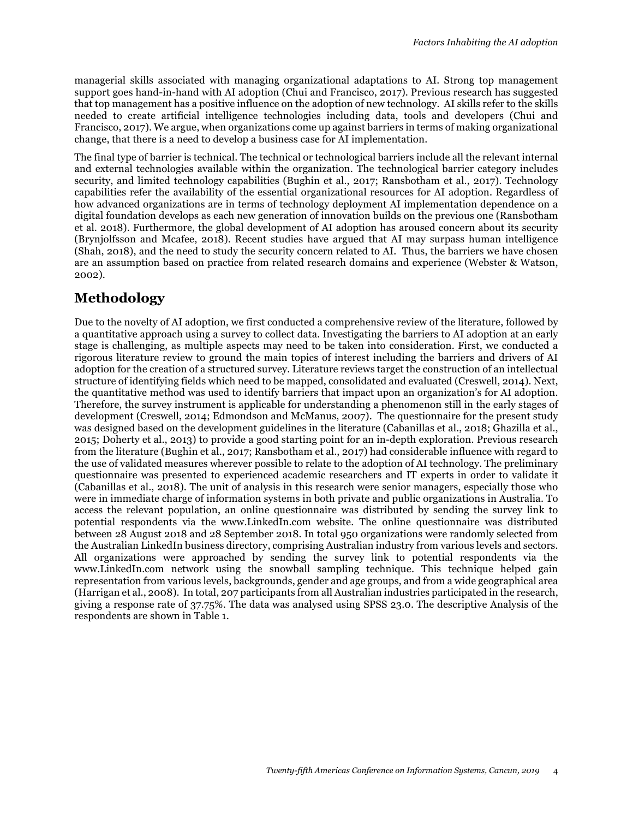managerial skills associated with managing organizational adaptations to AI. Strong top management support goes hand-in-hand with AI adoption (Chui and Francisco, 2017). Previous research has suggested that top management has a positive influence on the adoption of new technology. AI skills refer to the skills needed to create artificial intelligence technologies including data, tools and developers (Chui and Francisco, 2017). We argue, when organizations come up against barriers in terms of making organizational change, that there is a need to develop a business case for AI implementation.

The final type of barrier is technical. The technical or technological barriers include all the relevant internal and external technologies available within the organization. The technological barrier category includes security, and limited technology capabilities (Bughin et al., 2017; Ransbotham et al., 2017). Technology capabilities refer the availability of the essential organizational resources for AI adoption. Regardless of how advanced organizations are in terms of technology deployment AI implementation dependence on a digital foundation develops as each new generation of innovation builds on the previous one (Ransbotham et al. 2018). Furthermore, the global development of AI adoption has aroused concern about its security (Brynjolfsson and Mcafee, 2018). Recent studies have argued that AI may surpass human intelligence (Shah, 2018), and the need to study the security concern related to AI. Thus, the barriers we have chosen are an assumption based on practice from related research domains and experience (Webster & Watson, 2002).

## **Methodology**

Due to the novelty of AI adoption, we first conducted a comprehensive review of the literature, followed by a quantitative approach using a survey to collect data. Investigating the barriers to AI adoption at an early stage is challenging, as multiple aspects may need to be taken into consideration. First, we conducted a rigorous literature review to ground the main topics of interest including the barriers and drivers of AI adoption for the creation of a structured survey. Literature reviews target the construction of an intellectual structure of identifying fields which need to be mapped, consolidated and evaluated (Creswell, 2014). Next, the quantitative method was used to identify barriers that impact upon an organization's for AI adoption. Therefore, the survey instrument is applicable for understanding a phenomenon still in the early stages of development (Creswell, 2014; Edmondson and McManus, 2007). The questionnaire for the present study was designed based on the development guidelines in the literature (Cabanillas et al., 2018; Ghazilla et al., 2015; Doherty et al., 2013) to provide a good starting point for an in-depth exploration. Previous research from the literature (Bughin et al., 2017; Ransbotham et al., 2017) had considerable influence with regard to the use of validated measures wherever possible to relate to the adoption of AI technology. The preliminary questionnaire was presented to experienced academic researchers and IT experts in order to validate it (Cabanillas et al., 2018). The unit of analysis in this research were senior managers, especially those who were in immediate charge of information systems in both private and public organizations in Australia. To access the relevant population, an online questionnaire was distributed by sending the survey link to potential respondents via the www.LinkedIn.com website. The online questionnaire was distributed between 28 August 2018 and 28 September 2018. In total 950 organizations were randomly selected from the Australian LinkedIn business directory, comprising Australian industry from various levels and sectors. All organizations were approached by sending the survey link to potential respondents via the www.LinkedIn.com network using the snowball sampling technique. This technique helped gain representation from various levels, backgrounds, gender and age groups, and from a wide geographical area (Harrigan et al., 2008). In total, 207 participants from all Australian industries participated in the research, giving a response rate of 37.75%. The data was analysed using SPSS 23.0. The descriptive Analysis of the respondents are shown in Table 1.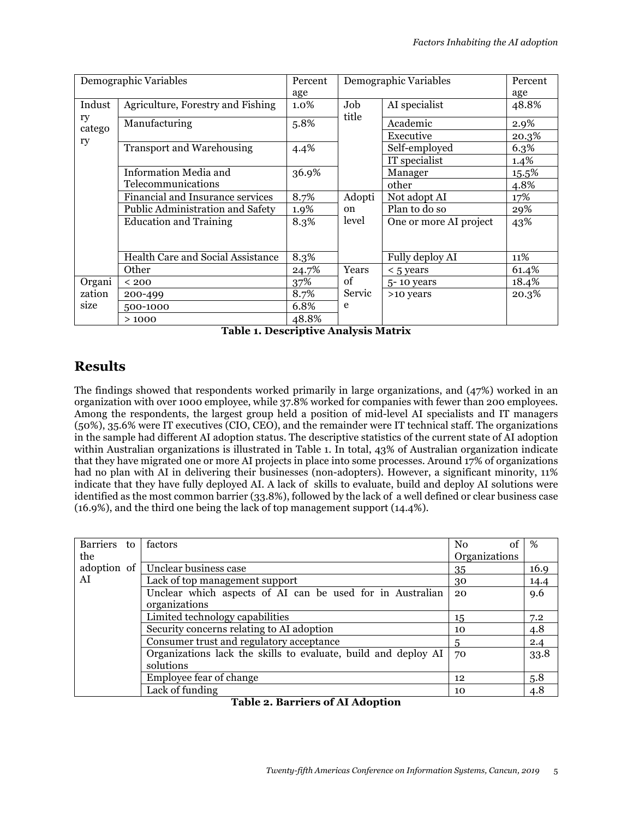| Demographic Variables |                                   | Percent | Demographic Variables | Percent                |       |
|-----------------------|-----------------------------------|---------|-----------------------|------------------------|-------|
|                       |                                   | age     |                       |                        | age   |
| Indust                | Agriculture, Forestry and Fishing | 1.0%    | Job                   | AI specialist          | 48.8% |
| ry<br>catego          | Manufacturing                     | 5.8%    | title                 | Academic               | 2.9%  |
| ry                    |                                   |         |                       | Executive              | 20.3% |
|                       | <b>Transport and Warehousing</b>  | 4.4%    |                       | Self-employed          | 6.3%  |
|                       |                                   |         |                       | IT specialist          | 1.4%  |
|                       | Information Media and             | 36.9%   |                       | Manager                | 15.5% |
|                       | Telecommunications                |         |                       | other                  | 4.8%  |
|                       | Financial and Insurance services  | 8.7%    | Adopti                | Not adopt AI           | 17%   |
|                       | Public Administration and Safety  | 1.9%    | on                    | Plan to do so          | 29%   |
|                       | <b>Education and Training</b>     | 8.3%    | level                 | One or more AI project | 43%   |
|                       |                                   |         |                       |                        |       |
|                       |                                   |         |                       |                        |       |
|                       | Health Care and Social Assistance | 8.3%    |                       | Fully deploy AI        | 11%   |
|                       | Other                             | 24.7%   | Years                 | < 5 years              | 61.4% |
| Organi                | < 200                             | 37%     | of                    | 5-10 years             | 18.4% |
| zation                | 200-499                           | 8.7%    | Servic                | >10 years              | 20.3% |
| size                  | 500-1000                          | 6.8%    | e                     |                        |       |
|                       | >1000                             | 48.8%   |                       |                        |       |

**Table 1. Descriptive Analysis Matrix**

# **Results**

The findings showed that respondents worked primarily in large organizations, and (47%) worked in an organization with over 1000 employee, while 37.8% worked for companies with fewer than 200 employees. Among the respondents, the largest group held a position of mid-level AI specialists and IT managers (50%), 35.6% were IT executives (CIO, CEO), and the remainder were IT technical staff. The organizations in the sample had different AI adoption status. The descriptive statistics of the current state of AI adoption within Australian organizations is illustrated in Table 1. In total, 43% of Australian organization indicate that they have migrated one or more AI projects in place into some processes. Around 17% of organizations had no plan with AI in delivering their businesses (non-adopters). However, a significant minority, 11% indicate that they have fully deployed AI. A lack of skills to evaluate, build and deploy AI solutions were identified as the most common barrier (33.8%), followed by the lack of a well defined or clear business case (16.9%), and the third one being the lack of top management support (14.4%).

| Barriers to | factors                                                        | N <sub>o</sub><br>Οt | %    |
|-------------|----------------------------------------------------------------|----------------------|------|
| the         |                                                                | Organizations        |      |
|             | adoption of Unclear business case                              | 35                   | 16.9 |
| AI          | Lack of top management support                                 | 30                   | 14.4 |
|             | Unclear which aspects of AI can be used for in Australian      | 20                   | 9.6  |
|             | organizations                                                  |                      |      |
|             | Limited technology capabilities                                | 15                   | 7.2  |
|             | Security concerns relating to AI adoption                      | 10                   | 4.8  |
|             | Consumer trust and regulatory acceptance                       | 5                    | 2.4  |
|             | Organizations lack the skills to evaluate, build and deploy AI | 70                   | 33.8 |
|             | solutions                                                      |                      |      |
|             | Employee fear of change                                        | 12                   | 5.8  |
|             | Lack of funding                                                | 10                   | 4.8  |

**Table 2. Barriers of AI Adoption**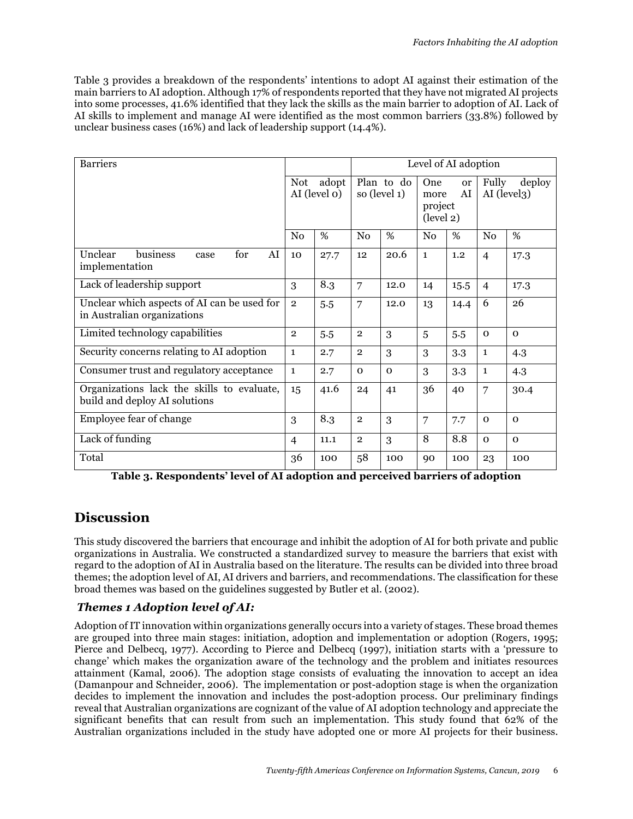Table 3 provides a breakdown of the respondents' intentions to adopt AI against their estimation of the main barriers to AI adoption. Although 17% of respondents reported that they have not migrated AI projects into some processes, 41.6% identified that they lack the skills as the main barrier to adoption of AI. Lack of AI skills to implement and manage AI were identified as the most common barriers (33.8%) followed by unclear business cases (16%) and lack of leadership support (14.4%).

| <b>Barriers</b>                                                             |                              |      | Level of AI adoption       |          |                                                                  |      |                                             |             |
|-----------------------------------------------------------------------------|------------------------------|------|----------------------------|----------|------------------------------------------------------------------|------|---------------------------------------------|-------------|
|                                                                             | adopt<br>Not<br>AI (level o) |      | Plan to do<br>so (level 1) |          | One<br><b>or</b><br>AI<br>more<br>project<br>$(\text{level } 2)$ |      | Fully<br>deploy<br>AI (level <sub>3</sub> ) |             |
|                                                                             | No                           | %    | N <sub>0</sub>             | %        | N <sub>0</sub>                                                   | %    | N <sub>0</sub>                              | %           |
| Unclear<br>business<br>for<br>AI<br>case<br>implementation                  | 10                           | 27.7 | 12                         | 20.6     | $\mathbf{1}$                                                     | 1.2  | $\overline{4}$                              | 17.3        |
| Lack of leadership support                                                  | 3                            | 8.3  | 7                          | 12.0     | 14                                                               | 15.5 | $\overline{4}$                              | 17.3        |
| Unclear which aspects of AI can be used for<br>in Australian organizations  |                              | 5.5  | 7                          | 12.0     | 13                                                               | 14.4 | 6                                           | 26          |
| Limited technology capabilities                                             |                              | 5.5  | $\overline{2}$             | 3        | 5                                                                | 5.5  | $\mathbf{O}$                                | $\mathbf 0$ |
| Security concerns relating to AI adoption                                   |                              | 2.7  | $\overline{2}$             | 3        | 3                                                                | 3.3  | $\mathbf{1}$                                | 4.3         |
| Consumer trust and regulatory acceptance                                    |                              | 2.7  | $\mathbf{O}$               | $\Omega$ | 3                                                                | 3.3  | $\mathbf{1}$                                | 4.3         |
| Organizations lack the skills to evaluate,<br>build and deploy AI solutions |                              | 41.6 | 24                         | 41       | 36                                                               | 40   | 7                                           | 30.4        |
| Employee fear of change                                                     |                              | 8.3  | $\overline{2}$             | 3        | 7                                                                | 7.7  | $\mathbf 0$                                 | $\mathbf 0$ |
| Lack of funding                                                             |                              | 11.1 | $\overline{2}$             | 3        | 8                                                                | 8.8  | $\mathbf 0$                                 | $\mathbf 0$ |
| Total                                                                       |                              | 100  | 58                         | 100      | 90                                                               | 100  | 23                                          | 100         |

**Table 3. Respondents' level of AI adoption and perceived barriers of adoption**

# **Discussion**

This study discovered the barriers that encourage and inhibit the adoption of AI for both private and public organizations in Australia. We constructed a standardized survey to measure the barriers that exist with regard to the adoption of AI in Australia based on the literature. The results can be divided into three broad themes; the adoption level of AI, AI drivers and barriers, and recommendations. The classification for these broad themes was based on the guidelines suggested by Butler et al. (2002).

### *Themes 1 Adoption level of AI:*

Adoption of IT innovation within organizations generally occurs into a variety of stages. These broad themes are grouped into three main stages: initiation, adoption and implementation or adoption (Rogers, 1995; Pierce and Delbecq, 1977). According to Pierce and Delbecq (1997), initiation starts with a 'pressure to change' which makes the organization aware of the technology and the problem and initiates resources attainment (Kamal, 2006). The adoption stage consists of evaluating the innovation to accept an idea (Damanpour and Schneider, 2006). The implementation or post-adoption stage is when the organization decides to implement the innovation and includes the post-adoption process. Our preliminary findings reveal that Australian organizations are cognizant of the value of AI adoption technology and appreciate the significant benefits that can result from such an implementation. This study found that 62% of the Australian organizations included in the study have adopted one or more AI projects for their business.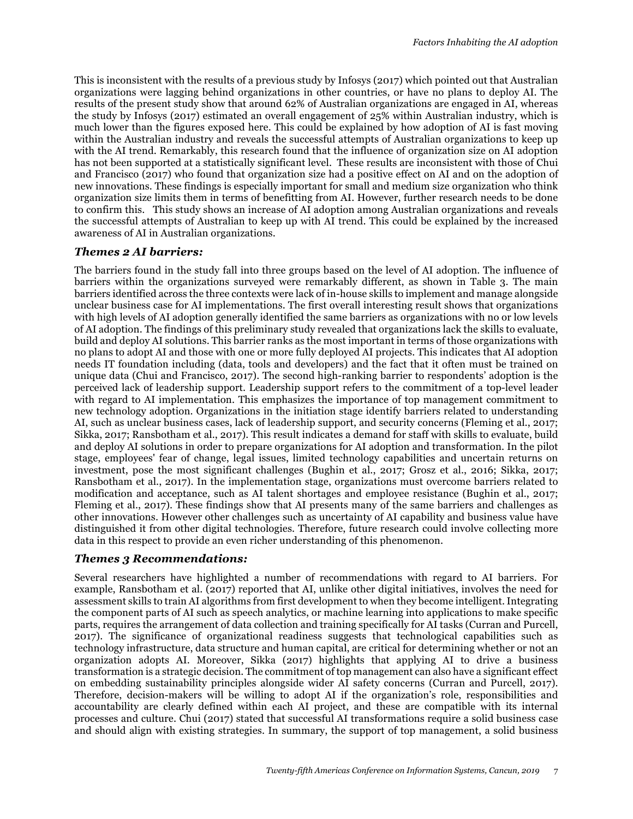This is inconsistent with the results of a previous study by Infosys (2017) which pointed out that Australian organizations were lagging behind organizations in other countries, or have no plans to deploy AI. The results of the present study show that around 62% of Australian organizations are engaged in AI, whereas the study by Infosys (2017) estimated an overall engagement of 25% within Australian industry, which is much lower than the figures exposed here. This could be explained by how adoption of AI is fast moving within the Australian industry and reveals the successful attempts of Australian organizations to keep up with the AI trend. Remarkably, this research found that the influence of organization size on AI adoption has not been supported at a statistically significant level. These results are inconsistent with those of Chui and Francisco (2017) who found that organization size had a positive effect on AI and on the adoption of new innovations. These findings is especially important for small and medium size organization who think organization size limits them in terms of benefitting from AI. However, further research needs to be done to confirm this. This study shows an increase of AI adoption among Australian organizations and reveals the successful attempts of Australian to keep up with AI trend. This could be explained by the increased awareness of AI in Australian organizations.

### *Themes 2 AI barriers:*

The barriers found in the study fall into three groups based on the level of AI adoption. The influence of barriers within the organizations surveyed were remarkably different, as shown in Table 3. The main barriers identified across the three contexts were lack of in-house skills to implement and manage alongside unclear business case for AI implementations. The first overall interesting result shows that organizations with high levels of AI adoption generally identified the same barriers as organizations with no or low levels of AI adoption. The findings of this preliminary study revealed that organizations lack the skills to evaluate, build and deploy AI solutions. This barrier ranks as the most important in terms of those organizations with no plans to adopt AI and those with one or more fully deployed AI projects. This indicates that AI adoption needs IT foundation including (data, tools and developers) and the fact that it often must be trained on unique data (Chui and Francisco, 2017). The second high-ranking barrier to respondents' adoption is the perceived lack of leadership support. Leadership support refers to the commitment of a top-level leader with regard to AI implementation. This emphasizes the importance of top management commitment to new technology adoption. Organizations in the initiation stage identify barriers related to understanding AI, such as unclear business cases, lack of leadership support, and security concerns (Fleming et al., 2017; Sikka, 2017; Ransbotham et al., 2017). This result indicates a demand for staff with skills to evaluate, build and deploy AI solutions in order to prepare organizations for AI adoption and transformation. In the pilot stage, employees' fear of change, legal issues, limited technology capabilities and uncertain returns on investment, pose the most significant challenges (Bughin et al., 2017; Grosz et al., 2016; Sikka, 2017; Ransbotham et al., 2017). In the implementation stage, organizations must overcome barriers related to modification and acceptance, such as AI talent shortages and employee resistance (Bughin et al., 2017; Fleming et al., 2017). These findings show that AI presents many of the same barriers and challenges as other innovations. However other challenges such as uncertainty of AI capability and business value have distinguished it from other digital technologies. Therefore, future research could involve collecting more data in this respect to provide an even richer understanding of this phenomenon.

### *Themes 3 Recommendations:*

Several researchers have highlighted a number of recommendations with regard to AI barriers. For example, Ransbotham et al. (2017) reported that AI, unlike other digital initiatives, involves the need for assessment skills to train AI algorithms from first development to when they become intelligent. Integrating the component parts of AI such as speech analytics, or machine learning into applications to make specific parts, requires the arrangement of data collection and training specifically for AI tasks (Curran and Purcell, 2017). The significance of organizational readiness suggests that technological capabilities such as technology infrastructure, data structure and human capital, are critical for determining whether or not an organization adopts AI. Moreover, Sikka (2017) highlights that applying AI to drive a business transformation is a strategic decision. The commitment of top management can also have a significant effect on embedding sustainability principles alongside wider AI safety concerns (Curran and Purcell, 2017). Therefore, decision-makers will be willing to adopt AI if the organization's role, responsibilities and accountability are clearly defined within each AI project, and these are compatible with its internal processes and culture. Chui (2017) stated that successful AI transformations require a solid business case and should align with existing strategies. In summary, the support of top management, a solid business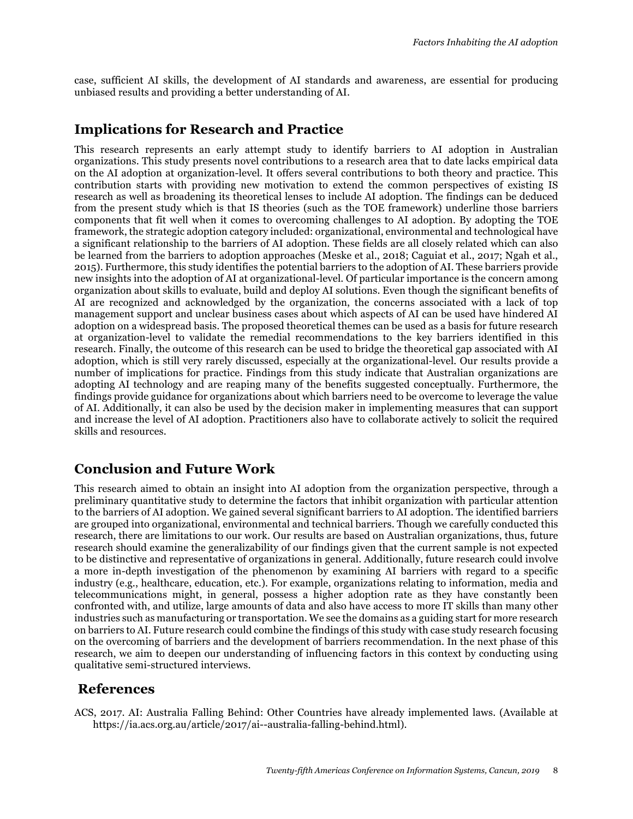case, sufficient AI skills, the development of AI standards and awareness, are essential for producing unbiased results and providing a better understanding of AI.

### **Implications for Research and Practice**

This research represents an early attempt study to identify barriers to AI adoption in Australian organizations. This study presents novel contributions to a research area that to date lacks empirical data on the AI adoption at organization-level. It offers several contributions to both theory and practice. This contribution starts with providing new motivation to extend the common perspectives of existing IS research as well as broadening its theoretical lenses to include AI adoption. The findings can be deduced from the present study which is that IS theories (such as the TOE framework) underline those barriers components that fit well when it comes to overcoming challenges to AI adoption. By adopting the TOE framework, the strategic adoption category included: organizational, environmental and technological have a significant relationship to the barriers of AI adoption. These fields are all closely related which can also be learned from the barriers to adoption approaches (Meske et al., 2018; Caguiat et al., 2017; Ngah et al., 2015). Furthermore, this study identifies the potential barriers to the adoption of AI. These barriers provide new insights into the adoption of AI at organizational-level. Of particular importance is the concern among organization about skills to evaluate, build and deploy AI solutions. Even though the significant benefits of AI are recognized and acknowledged by the organization, the concerns associated with a lack of top management support and unclear business cases about which aspects of AI can be used have hindered AI adoption on a widespread basis. The proposed theoretical themes can be used as a basis for future research at organization-level to validate the remedial recommendations to the key barriers identified in this research. Finally, the outcome of this research can be used to bridge the theoretical gap associated with AI adoption, which is still very rarely discussed, especially at the organizational-level. Our results provide a number of implications for practice. Findings from this study indicate that Australian organizations are adopting AI technology and are reaping many of the benefits suggested conceptually. Furthermore, the findings provide guidance for organizations about which barriers need to be overcome to leverage the value of AI. Additionally, it can also be used by the decision maker in implementing measures that can support and increase the level of AI adoption. Practitioners also have to collaborate actively to solicit the required skills and resources.

### **Conclusion and Future Work**

This research aimed to obtain an insight into AI adoption from the organization perspective, through a preliminary quantitative study to determine the factors that inhibit organization with particular attention to the barriers of AI adoption. We gained several significant barriers to AI adoption. The identified barriers are grouped into organizational, environmental and technical barriers. Though we carefully conducted this research, there are limitations to our work. Our results are based on Australian organizations, thus, future research should examine the generalizability of our findings given that the current sample is not expected to be distinctive and representative of organizations in general. Additionally, future research could involve a more in-depth investigation of the phenomenon by examining AI barriers with regard to a specific industry (e.g., healthcare, education, etc.). For example, organizations relating to information, media and telecommunications might, in general, possess a higher adoption rate as they have constantly been confronted with, and utilize, large amounts of data and also have access to more IT skills than many other industries such as manufacturing or transportation. We see the domains as a guiding start for more research on barriers to AI. Future research could combine the findings of this study with case study research focusing on the overcoming of barriers and the development of barriers recommendation. In the next phase of this research, we aim to deepen our understanding of influencing factors in this context by conducting using qualitative semi-structured interviews.

### **References**

ACS, 2017. AI: Australia Falling Behind: Other Countries have already implemented laws. (Available at https://ia.acs.org.au/article/2017/ai--australia-falling-behind.html).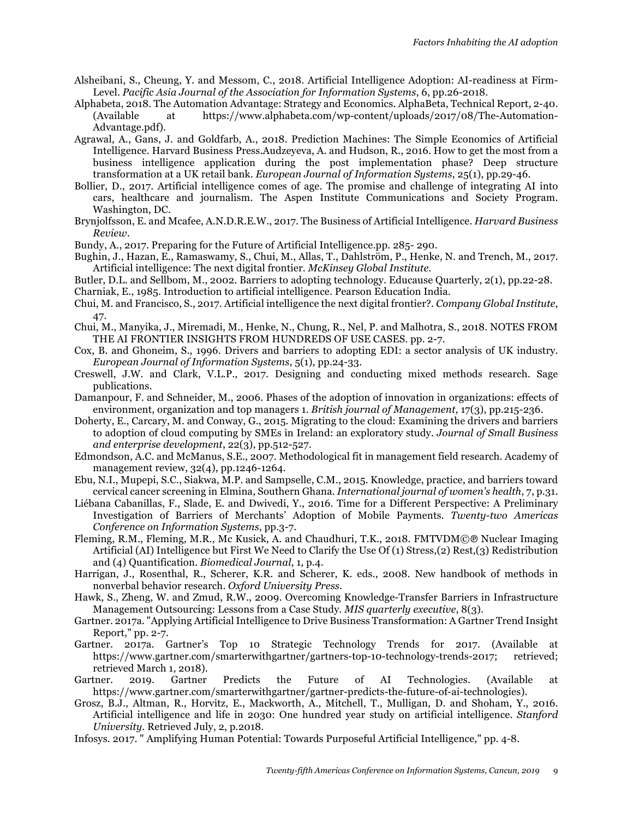- Alsheibani, S., Cheung, Y. and Messom, C., 2018. Artificial Intelligence Adoption: AI-readiness at Firm-Level. *Pacific Asia Journal of the Association for Information Systems*, 6, pp.26-2018.
- Alphabeta, 2018. The Automation Advantage: Strategy and Economics. AlphaBeta, Technical Report, 2-40. at https://www.alphabeta.com/wp-content/uploads/2017/08/The-Automation-Advantage.pdf).
- Agrawal, A., Gans, J. and Goldfarb, A., 2018. Prediction Machines: The Simple Economics of Artificial Intelligence. Harvard Business Press.Audzeyeva, A. and Hudson, R., 2016. How to get the most from a business intelligence application during the post implementation phase? Deep structure transformation at a UK retail bank. *European Journal of Information Systems*, 25(1), pp.29-46.
- Bollier, D., 2017. Artificial intelligence comes of age. The promise and challenge of integrating AI into cars, healthcare and journalism. The Aspen Institute Communications and Society Program. Washington, DC.
- Brynjolfsson, E. and Mcafee, A.N.D.R.E.W., 2017. The Business of Artificial Intelligence. *Harvard Business Review.*
- Bundy, A., 2017. Preparing for the Future of Artificial Intelligence.pp. 285- 290.
- Bughin, J., Hazan, E., Ramaswamy, S., Chui, M., Allas, T., Dahlström, P., Henke, N. and Trench, M., 2017. Artificial intelligence: The next digital frontier. *McKinsey Global Institute*.
- Butler, D.L. and Sellbom, M., 2002. Barriers to adopting technology. Educause Quarterly, 2(1), pp.22-28.
- Charniak, E., 1985. Introduction to artificial intelligence. Pearson Education India.
- Chui, M. and Francisco, S., 2017. Artificial intelligence the next digital frontier?. *Company Global Institute*, 47.
- Chui, M., Manyika, J., Miremadi, M., Henke, N., Chung, R., Nel, P. and Malhotra, S., 2018. NOTES FROM THE AI FRONTIER INSIGHTS FROM HUNDREDS OF USE CASES. pp. 2-7.
- Cox, B. and Ghoneim, S., 1996. Drivers and barriers to adopting EDI: a sector analysis of UK industry. *European Journal of Information Systems*, 5(1), pp.24-33.
- Creswell, J.W. and Clark, V.L.P., 2017. Designing and conducting mixed methods research. Sage publications.
- Damanpour, F. and Schneider, M., 2006. Phases of the adoption of innovation in organizations: effects of environment, organization and top managers 1. *British journal of Management*, 17(3), pp.215-236.
- Doherty, E., Carcary, M. and Conway, G., 2015. Migrating to the cloud: Examining the drivers and barriers to adoption of cloud computing by SMEs in Ireland: an exploratory study. *Journal of Small Business and enterprise development*, 22(3), pp.512-527.
- Edmondson, A.C. and McManus, S.E., 2007. Methodological fit in management field research. Academy of management review, 32(4), pp.1246-1264.
- Ebu, N.I., Mupepi, S.C., Siakwa, M.P. and Sampselle, C.M., 2015. Knowledge, practice, and barriers toward cervical cancer screening in Elmina, Southern Ghana. *International journal of women's health*, 7, p.31.
- Liébana Cabanillas, F., Slade, E. and Dwivedi, Y., 2016. Time for a Different Perspective: A Preliminary Investigation of Barriers of Merchants' Adoption of Mobile Payments. *Twenty-two Americas Conference on Information Systems*, pp.3-7.
- Fleming, R.M., Fleming, M.R., Mc Kusick, A. and Chaudhuri, T.K., 2018. FMTVDM©℗ Nuclear Imaging Artificial (AI) Intelligence but First We Need to Clarify the Use Of (1) Stress,(2) Rest,(3) Redistribution and (4) Quantification. *Biomedical Journal*, 1, p.4.
- Harrigan, J., Rosenthal, R., Scherer, K.R. and Scherer, K. eds., 2008. New handbook of methods in nonverbal behavior research. *Oxford University Press*.
- Hawk, S., Zheng, W. and Zmud, R.W., 2009. Overcoming Knowledge-Transfer Barriers in Infrastructure Management Outsourcing: Lessons from a Case Study*. MIS quarterly executive*, 8(3).
- Gartner. 2017a. "Applying Artificial Intelligence to Drive Business Transformation: A Gartner Trend Insight Report," pp. 2-7.
- Gartner. 2017a. Gartner's Top 10 Strategic Technology Trends for 2017. (Available at https://www.gartner.com/smarterwithgartner/gartners-top-10-technology-trends-2017; retrieved; retrieved March 1, 2018).
- Gartner. 2019. Gartner Predicts the Future of AI Technologies. (Available at https://www.gartner.com/smarterwithgartner/gartner-predicts-the-future-of-ai-technologies).
- Grosz, B.J., Altman, R., Horvitz, E., Mackworth, A., Mitchell, T., Mulligan, D. and Shoham, Y., 2016. Artificial intelligence and life in 2030: One hundred year study on artificial intelligence. *Stanford University*. Retrieved July, 2, p.2018.
- Infosys. 2017. " Amplifying Human Potential: Towards Purposeful Artificial Intelligence," pp. 4-8.